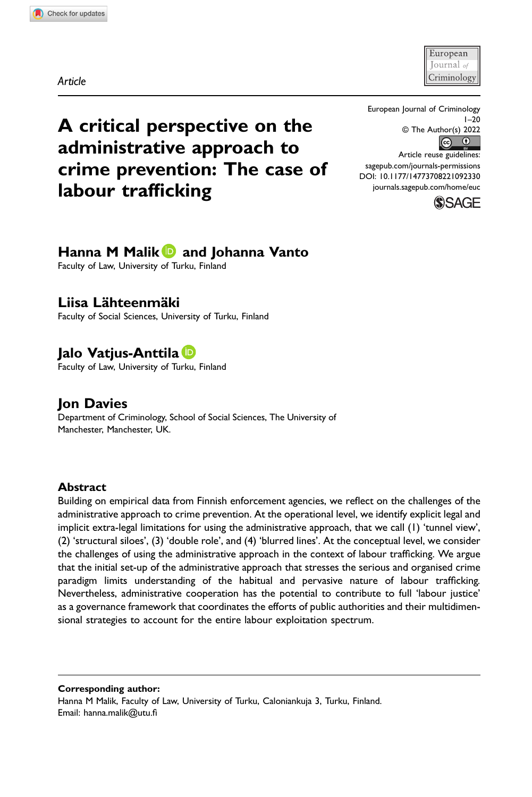Article

European Iournal *o* Criminology

 $1 - 20$ 

A critical perspective on the administrative approach to crime prevention: The case of labour trafficking

# Hanna M Malik **D** and Johanna Vanto

Faculty of Law, University of Turku, Finland

## Liisa Lähteenmäki

Faculty of Social Sciences, University of Turku, Finland

# **Jalo Vatius-Anttila** D

Faculty of Law, University of Turku, Finland

# Jon Davies

Department of Criminology, School of Social Sciences, The University of Manchester, Manchester, UK.

#### Abstract

Building on empirical data from Finnish enforcement agencies, we reflect on the challenges of the administrative approach to crime prevention. At the operational level, we identify explicit legal and implicit extra-legal limitations for using the administrative approach, that we call (1) 'tunnel view', (2) 'structural siloes', (3) 'double role', and (4) 'blurred lines'. At the conceptual level, we consider the challenges of using the administrative approach in the context of labour trafficking. We argue that the initial set-up of the administrative approach that stresses the serious and organised crime paradigm limits understanding of the habitual and pervasive nature of labour trafficking. Nevertheless, administrative cooperation has the potential to contribute to full 'labour justice' as a governance framework that coordinates the efforts of public authorities and their multidimensional strategies to account for the entire labour exploitation spectrum.

Corresponding author:

Hanna M Malik, Faculty of Law, University of Turku, Caloniankuja 3, Turku, Finland. Email: [hanna.malik@utu.](mailto:hanna.malik@utu.fi)fi



[sagepub.com/journals-permissions](https://us.sagepub.com/en-us/journals-permissions) DOI: 10.1177/14773708221092330 [journals.sagepub.com/home/euc](https://journals.sagepub.com/home/euc)

European Journal of Criminology

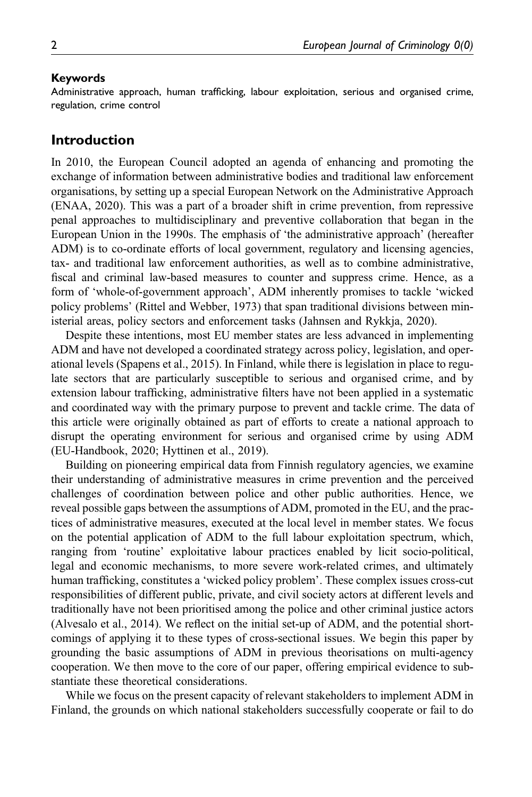#### Keywords

Administrative approach, human trafficking, labour exploitation, serious and organised crime, regulation, crime control

### Introduction

In 2010, the European Council adopted an agenda of enhancing and promoting the exchange of information between administrative bodies and traditional law enforcement organisations, by setting up a special European Network on the Administrative Approach (ENAA, 2020). This was a part of a broader shift in crime prevention, from repressive penal approaches to multidisciplinary and preventive collaboration that began in the European Union in the 1990s. The emphasis of 'the administrative approach' (hereafter ADM) is to co-ordinate efforts of local government, regulatory and licensing agencies, tax- and traditional law enforcement authorities, as well as to combine administrative, fiscal and criminal law-based measures to counter and suppress crime. Hence, as a form of 'whole-of-government approach', ADM inherently promises to tackle 'wicked policy problems' (Rittel and Webber, 1973) that span traditional divisions between ministerial areas, policy sectors and enforcement tasks (Jahnsen and Rykkja, 2020).

Despite these intentions, most EU member states are less advanced in implementing ADM and have not developed a coordinated strategy across policy, legislation, and operational levels (Spapens et al., 2015). In Finland, while there is legislation in place to regulate sectors that are particularly susceptible to serious and organised crime, and by extension labour trafficking, administrative filters have not been applied in a systematic and coordinated way with the primary purpose to prevent and tackle crime. The data of this article were originally obtained as part of efforts to create a national approach to disrupt the operating environment for serious and organised crime by using ADM (EU-Handbook, 2020; Hyttinen et al., 2019).

Building on pioneering empirical data from Finnish regulatory agencies, we examine their understanding of administrative measures in crime prevention and the perceived challenges of coordination between police and other public authorities. Hence, we reveal possible gaps between the assumptions of ADM, promoted in the EU, and the practices of administrative measures, executed at the local level in member states. We focus on the potential application of ADM to the full labour exploitation spectrum, which, ranging from 'routine' exploitative labour practices enabled by licit socio-political, legal and economic mechanisms, to more severe work-related crimes, and ultimately human trafficking, constitutes a 'wicked policy problem'. These complex issues cross-cut responsibilities of different public, private, and civil society actors at different levels and traditionally have not been prioritised among the police and other criminal justice actors (Alvesalo et al., 2014). We reflect on the initial set-up of ADM, and the potential shortcomings of applying it to these types of cross-sectional issues. We begin this paper by grounding the basic assumptions of ADM in previous theorisations on multi-agency cooperation. We then move to the core of our paper, offering empirical evidence to substantiate these theoretical considerations.

While we focus on the present capacity of relevant stakeholders to implement ADM in Finland, the grounds on which national stakeholders successfully cooperate or fail to do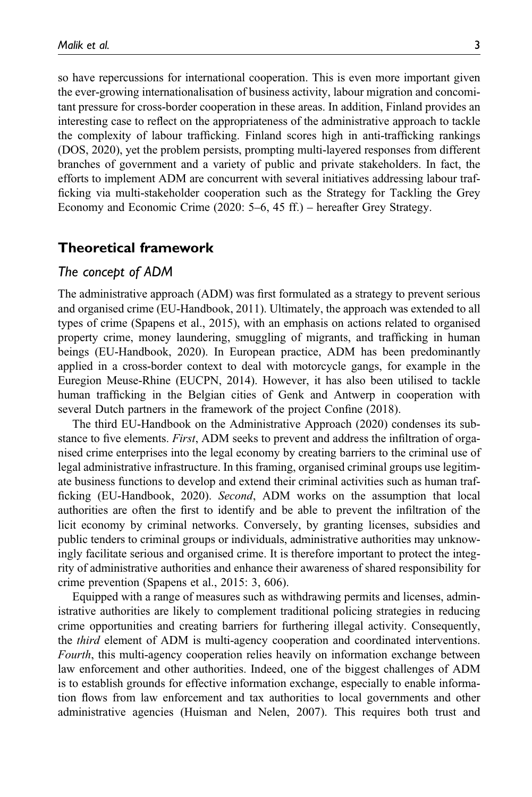so have repercussions for international cooperation. This is even more important given the ever-growing internationalisation of business activity, labour migration and concomitant pressure for cross-border cooperation in these areas. In addition, Finland provides an interesting case to reflect on the appropriateness of the administrative approach to tackle the complexity of labour trafficking. Finland scores high in anti-trafficking rankings (DOS, 2020), yet the problem persists, prompting multi-layered responses from different branches of government and a variety of public and private stakeholders. In fact, the efforts to implement ADM are concurrent with several initiatives addressing labour trafficking via multi-stakeholder cooperation such as the Strategy for Tackling the Grey Economy and Economic Crime (2020: 5–6, 45 ff.) – hereafter Grey Strategy.

### Theoretical framework

#### The concept of ADM

The administrative approach (ADM) was first formulated as a strategy to prevent serious and organised crime (EU-Handbook, 2011). Ultimately, the approach was extended to all types of crime (Spapens et al., 2015), with an emphasis on actions related to organised property crime, money laundering, smuggling of migrants, and trafficking in human beings (EU-Handbook, 2020). In European practice, ADM has been predominantly applied in a cross-border context to deal with motorcycle gangs, for example in the Euregion Meuse-Rhine (EUCPN, 2014). However, it has also been utilised to tackle human trafficking in the Belgian cities of Genk and Antwerp in cooperation with several Dutch partners in the framework of the project Confine (2018).

The third EU-Handbook on the Administrative Approach (2020) condenses its substance to five elements. First, ADM seeks to prevent and address the infiltration of organised crime enterprises into the legal economy by creating barriers to the criminal use of legal administrative infrastructure. In this framing, organised criminal groups use legitimate business functions to develop and extend their criminal activities such as human trafficking (EU-Handbook, 2020). Second, ADM works on the assumption that local authorities are often the first to identify and be able to prevent the infiltration of the licit economy by criminal networks. Conversely, by granting licenses, subsidies and public tenders to criminal groups or individuals, administrative authorities may unknowingly facilitate serious and organised crime. It is therefore important to protect the integrity of administrative authorities and enhance their awareness of shared responsibility for crime prevention (Spapens et al., 2015: 3, 606).

Equipped with a range of measures such as withdrawing permits and licenses, administrative authorities are likely to complement traditional policing strategies in reducing crime opportunities and creating barriers for furthering illegal activity. Consequently, the third element of ADM is multi-agency cooperation and coordinated interventions. Fourth, this multi-agency cooperation relies heavily on information exchange between law enforcement and other authorities. Indeed, one of the biggest challenges of ADM is to establish grounds for effective information exchange, especially to enable information flows from law enforcement and tax authorities to local governments and other administrative agencies (Huisman and Nelen, 2007). This requires both trust and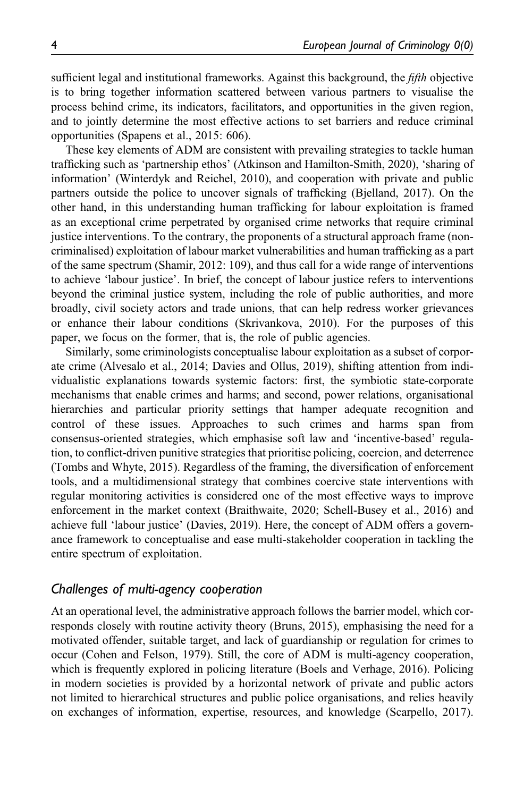sufficient legal and institutional frameworks. Against this background, the *fifth* objective is to bring together information scattered between various partners to visualise the process behind crime, its indicators, facilitators, and opportunities in the given region, and to jointly determine the most effective actions to set barriers and reduce criminal opportunities (Spapens et al., 2015: 606).

These key elements of ADM are consistent with prevailing strategies to tackle human trafficking such as 'partnership ethos' (Atkinson and Hamilton-Smith, 2020), 'sharing of information' (Winterdyk and Reichel, 2010), and cooperation with private and public partners outside the police to uncover signals of trafficking (Bjelland, 2017). On the other hand, in this understanding human trafficking for labour exploitation is framed as an exceptional crime perpetrated by organised crime networks that require criminal justice interventions. To the contrary, the proponents of a structural approach frame (noncriminalised) exploitation of labour market vulnerabilities and human trafficking as a part of the same spectrum (Shamir, 2012: 109), and thus call for a wide range of interventions to achieve 'labour justice'. In brief, the concept of labour justice refers to interventions beyond the criminal justice system, including the role of public authorities, and more broadly, civil society actors and trade unions, that can help redress worker grievances or enhance their labour conditions (Skrivankova, 2010). For the purposes of this paper, we focus on the former, that is, the role of public agencies.

Similarly, some criminologists conceptualise labour exploitation as a subset of corporate crime (Alvesalo et al., 2014; Davies and Ollus, 2019), shifting attention from individualistic explanations towards systemic factors: first, the symbiotic state-corporate mechanisms that enable crimes and harms; and second, power relations, organisational hierarchies and particular priority settings that hamper adequate recognition and control of these issues. Approaches to such crimes and harms span from consensus-oriented strategies, which emphasise soft law and 'incentive-based' regulation, to conflict-driven punitive strategies that prioritise policing, coercion, and deterrence (Tombs and Whyte, 2015). Regardless of the framing, the diversification of enforcement tools, and a multidimensional strategy that combines coercive state interventions with regular monitoring activities is considered one of the most effective ways to improve enforcement in the market context (Braithwaite, 2020; Schell-Busey et al., 2016) and achieve full 'labour justice' (Davies, 2019). Here, the concept of ADM offers a governance framework to conceptualise and ease multi-stakeholder cooperation in tackling the entire spectrum of exploitation.

#### Challenges of multi-agency cooperation

At an operational level, the administrative approach follows the barrier model, which corresponds closely with routine activity theory (Bruns, 2015), emphasising the need for a motivated offender, suitable target, and lack of guardianship or regulation for crimes to occur (Cohen and Felson, 1979). Still, the core of ADM is multi-agency cooperation, which is frequently explored in policing literature (Boels and Verhage, 2016). Policing in modern societies is provided by a horizontal network of private and public actors not limited to hierarchical structures and public police organisations, and relies heavily on exchanges of information, expertise, resources, and knowledge (Scarpello, 2017).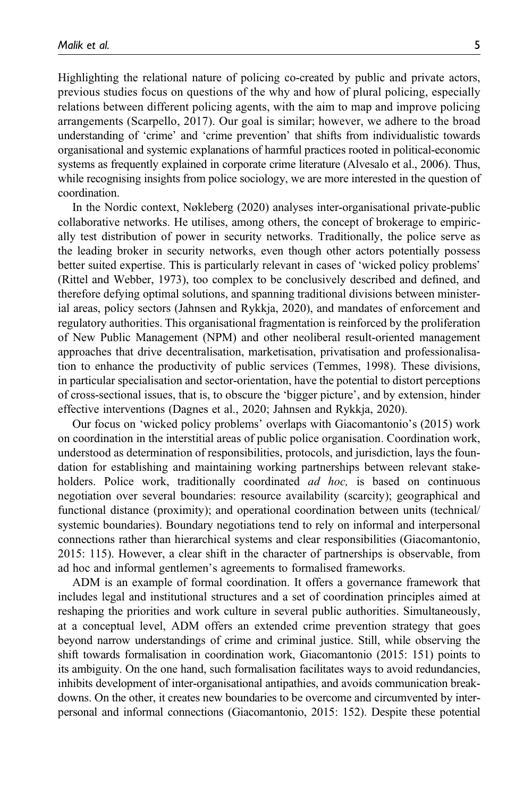Highlighting the relational nature of policing co-created by public and private actors, previous studies focus on questions of the why and how of plural policing, especially relations between different policing agents, with the aim to map and improve policing arrangements (Scarpello, 2017). Our goal is similar; however, we adhere to the broad understanding of 'crime' and 'crime prevention' that shifts from individualistic towards organisational and systemic explanations of harmful practices rooted in political-economic systems as frequently explained in corporate crime literature (Alvesalo et al., 2006). Thus, while recognising insights from police sociology, we are more interested in the question of coordination.

In the Nordic context, Nøkleberg (2020) analyses inter-organisational private-public collaborative networks. He utilises, among others, the concept of brokerage to empirically test distribution of power in security networks. Traditionally, the police serve as the leading broker in security networks, even though other actors potentially possess better suited expertise. This is particularly relevant in cases of 'wicked policy problems' (Rittel and Webber, 1973), too complex to be conclusively described and defined, and therefore defying optimal solutions, and spanning traditional divisions between ministerial areas, policy sectors (Jahnsen and Rykkja, 2020), and mandates of enforcement and regulatory authorities. This organisational fragmentation is reinforced by the proliferation of New Public Management (NPM) and other neoliberal result-oriented management approaches that drive decentralisation, marketisation, privatisation and professionalisation to enhance the productivity of public services (Temmes, 1998). These divisions, in particular specialisation and sector-orientation, have the potential to distort perceptions of cross-sectional issues, that is, to obscure the 'bigger picture', and by extension, hinder effective interventions (Dagnes et al., 2020; Jahnsen and Rykkja, 2020).

Our focus on 'wicked policy problems' overlaps with Giacomantonio's (2015) work on coordination in the interstitial areas of public police organisation. Coordination work, understood as determination of responsibilities, protocols, and jurisdiction, lays the foundation for establishing and maintaining working partnerships between relevant stakeholders. Police work, traditionally coordinated *ad hoc*, is based on continuous negotiation over several boundaries: resource availability (scarcity); geographical and functional distance (proximity); and operational coordination between units (technical/ systemic boundaries). Boundary negotiations tend to rely on informal and interpersonal connections rather than hierarchical systems and clear responsibilities (Giacomantonio, 2015: 115). However, a clear shift in the character of partnerships is observable, from ad hoc and informal gentlemen's agreements to formalised frameworks.

ADM is an example of formal coordination. It offers a governance framework that includes legal and institutional structures and a set of coordination principles aimed at reshaping the priorities and work culture in several public authorities. Simultaneously, at a conceptual level, ADM offers an extended crime prevention strategy that goes beyond narrow understandings of crime and criminal justice. Still, while observing the shift towards formalisation in coordination work, Giacomantonio (2015: 151) points to its ambiguity. On the one hand, such formalisation facilitates ways to avoid redundancies, inhibits development of inter-organisational antipathies, and avoids communication breakdowns. On the other, it creates new boundaries to be overcome and circumvented by interpersonal and informal connections (Giacomantonio, 2015: 152). Despite these potential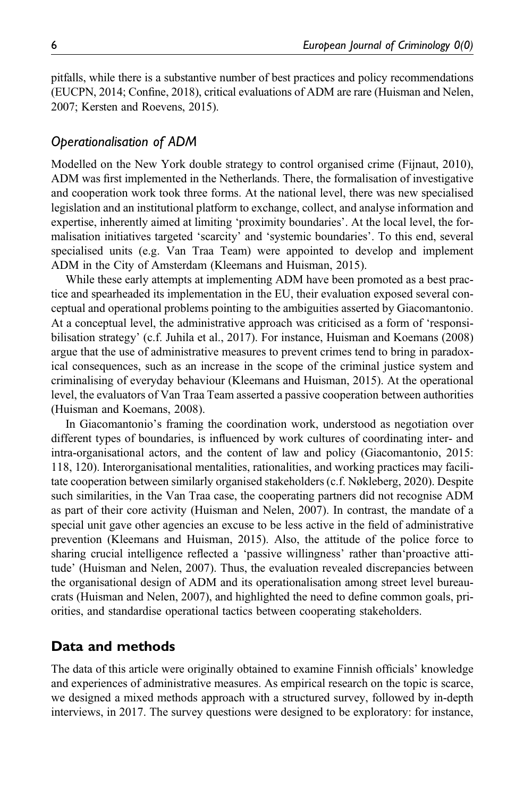pitfalls, while there is a substantive number of best practices and policy recommendations (EUCPN, 2014; Confine, 2018), critical evaluations of ADM are rare (Huisman and Nelen, 2007; Kersten and Roevens, 2015).

### Operationalisation of ADM

Modelled on the New York double strategy to control organised crime (Fijnaut, 2010), ADM was first implemented in the Netherlands. There, the formalisation of investigative and cooperation work took three forms. At the national level, there was new specialised legislation and an institutional platform to exchange, collect, and analyse information and expertise, inherently aimed at limiting 'proximity boundaries'. At the local level, the formalisation initiatives targeted 'scarcity' and 'systemic boundaries'. To this end, several specialised units (e.g. Van Traa Team) were appointed to develop and implement ADM in the City of Amsterdam (Kleemans and Huisman, 2015).

While these early attempts at implementing ADM have been promoted as a best practice and spearheaded its implementation in the EU, their evaluation exposed several conceptual and operational problems pointing to the ambiguities asserted by Giacomantonio. At a conceptual level, the administrative approach was criticised as a form of 'responsibilisation strategy' (c.f. Juhila et al., 2017). For instance, Huisman and Koemans (2008) argue that the use of administrative measures to prevent crimes tend to bring in paradoxical consequences, such as an increase in the scope of the criminal justice system and criminalising of everyday behaviour (Kleemans and Huisman, 2015). At the operational level, the evaluators of Van Traa Team asserted a passive cooperation between authorities (Huisman and Koemans, 2008).

In Giacomantonio's framing the coordination work, understood as negotiation over different types of boundaries, is influenced by work cultures of coordinating inter- and intra-organisational actors, and the content of law and policy (Giacomantonio, 2015: 118, 120). Interorganisational mentalities, rationalities, and working practices may facilitate cooperation between similarly organised stakeholders (c.f. Nøkleberg, 2020). Despite such similarities, in the Van Traa case, the cooperating partners did not recognise ADM as part of their core activity (Huisman and Nelen, 2007). In contrast, the mandate of a special unit gave other agencies an excuse to be less active in the field of administrative prevention (Kleemans and Huisman, 2015). Also, the attitude of the police force to sharing crucial intelligence reflected a 'passive willingness' rather than'proactive attitude' (Huisman and Nelen, 2007). Thus, the evaluation revealed discrepancies between the organisational design of ADM and its operationalisation among street level bureaucrats (Huisman and Nelen, 2007), and highlighted the need to define common goals, priorities, and standardise operational tactics between cooperating stakeholders.

#### Data and methods

The data of this article were originally obtained to examine Finnish officials' knowledge and experiences of administrative measures. As empirical research on the topic is scarce, we designed a mixed methods approach with a structured survey, followed by in-depth interviews, in 2017. The survey questions were designed to be exploratory: for instance,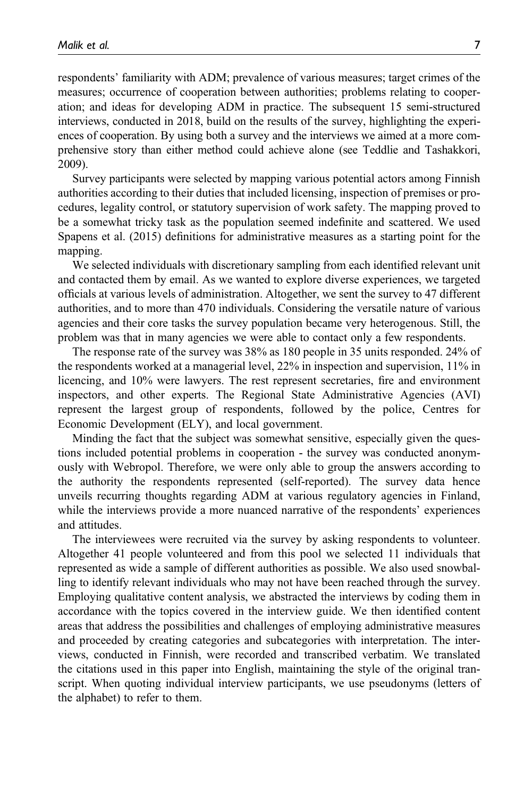respondents' familiarity with ADM; prevalence of various measures; target crimes of the measures; occurrence of cooperation between authorities; problems relating to cooperation; and ideas for developing ADM in practice. The subsequent 15 semi-structured interviews, conducted in 2018, build on the results of the survey, highlighting the experiences of cooperation. By using both a survey and the interviews we aimed at a more comprehensive story than either method could achieve alone (see Teddlie and Tashakkori, 2009).

Survey participants were selected by mapping various potential actors among Finnish authorities according to their duties that included licensing, inspection of premises or procedures, legality control, or statutory supervision of work safety. The mapping proved to be a somewhat tricky task as the population seemed indefinite and scattered. We used Spapens et al. (2015) definitions for administrative measures as a starting point for the mapping.

We selected individuals with discretionary sampling from each identified relevant unit and contacted them by email. As we wanted to explore diverse experiences, we targeted officials at various levels of administration. Altogether, we sent the survey to 47 different authorities, and to more than 470 individuals. Considering the versatile nature of various agencies and their core tasks the survey population became very heterogenous. Still, the problem was that in many agencies we were able to contact only a few respondents.

The response rate of the survey was 38% as 180 people in 35 units responded. 24% of the respondents worked at a managerial level, 22% in inspection and supervision, 11% in licencing, and 10% were lawyers. The rest represent secretaries, fire and environment inspectors, and other experts. The Regional State Administrative Agencies (AVI) represent the largest group of respondents, followed by the police, Centres for Economic Development (ELY), and local government.

Minding the fact that the subject was somewhat sensitive, especially given the questions included potential problems in cooperation - the survey was conducted anonymously with Webropol. Therefore, we were only able to group the answers according to the authority the respondents represented (self-reported). The survey data hence unveils recurring thoughts regarding ADM at various regulatory agencies in Finland, while the interviews provide a more nuanced narrative of the respondents' experiences and attitudes.

The interviewees were recruited via the survey by asking respondents to volunteer. Altogether 41 people volunteered and from this pool we selected 11 individuals that represented as wide a sample of different authorities as possible. We also used snowballing to identify relevant individuals who may not have been reached through the survey. Employing qualitative content analysis, we abstracted the interviews by coding them in accordance with the topics covered in the interview guide. We then identified content areas that address the possibilities and challenges of employing administrative measures and proceeded by creating categories and subcategories with interpretation. The interviews, conducted in Finnish, were recorded and transcribed verbatim. We translated the citations used in this paper into English, maintaining the style of the original transcript. When quoting individual interview participants, we use pseudonyms (letters of the alphabet) to refer to them.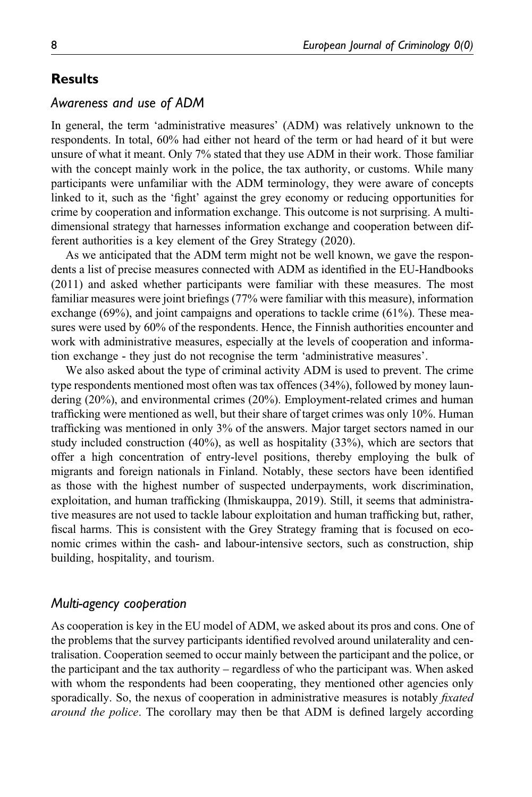## **Results**

### Awareness and use of ADM

In general, the term 'administrative measures' (ADM) was relatively unknown to the respondents. In total, 60% had either not heard of the term or had heard of it but were unsure of what it meant. Only 7% stated that they use ADM in their work. Those familiar with the concept mainly work in the police, the tax authority, or customs. While many participants were unfamiliar with the ADM terminology, they were aware of concepts linked to it, such as the 'fight' against the grey economy or reducing opportunities for crime by cooperation and information exchange. This outcome is not surprising. A multidimensional strategy that harnesses information exchange and cooperation between different authorities is a key element of the Grey Strategy (2020).

As we anticipated that the ADM term might not be well known, we gave the respondents a list of precise measures connected with ADM as identified in the EU-Handbooks (2011) and asked whether participants were familiar with these measures. The most familiar measures were joint briefings (77% were familiar with this measure), information exchange (69%), and joint campaigns and operations to tackle crime (61%). These measures were used by 60% of the respondents. Hence, the Finnish authorities encounter and work with administrative measures, especially at the levels of cooperation and information exchange - they just do not recognise the term 'administrative measures'.

We also asked about the type of criminal activity ADM is used to prevent. The crime type respondents mentioned most often was tax offences (34%), followed by money laundering (20%), and environmental crimes (20%). Employment-related crimes and human trafficking were mentioned as well, but their share of target crimes was only 10%. Human trafficking was mentioned in only 3% of the answers. Major target sectors named in our study included construction (40%), as well as hospitality (33%), which are sectors that offer a high concentration of entry-level positions, thereby employing the bulk of migrants and foreign nationals in Finland. Notably, these sectors have been identified as those with the highest number of suspected underpayments, work discrimination, exploitation, and human trafficking (Ihmiskauppa, 2019). Still, it seems that administrative measures are not used to tackle labour exploitation and human trafficking but, rather, fiscal harms. This is consistent with the Grey Strategy framing that is focused on economic crimes within the cash- and labour-intensive sectors, such as construction, ship building, hospitality, and tourism.

#### Multi-agency cooperation

As cooperation is key in the EU model of ADM, we asked about its pros and cons. One of the problems that the survey participants identified revolved around unilaterality and centralisation. Cooperation seemed to occur mainly between the participant and the police, or the participant and the tax authority – regardless of who the participant was. When asked with whom the respondents had been cooperating, they mentioned other agencies only sporadically. So, the nexus of cooperation in administrative measures is notably *fixated* around the police. The corollary may then be that ADM is defined largely according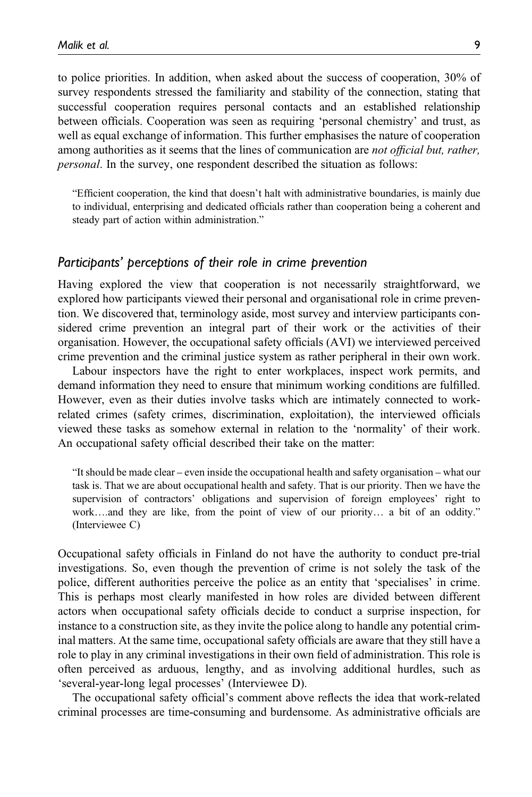to police priorities. In addition, when asked about the success of cooperation, 30% of survey respondents stressed the familiarity and stability of the connection, stating that successful cooperation requires personal contacts and an established relationship between officials. Cooperation was seen as requiring 'personal chemistry' and trust, as well as equal exchange of information. This further emphasises the nature of cooperation among authorities as it seems that the lines of communication are not official but, rather, personal. In the survey, one respondent described the situation as follows:

"Efficient cooperation, the kind that doesn't halt with administrative boundaries, is mainly due to individual, enterprising and dedicated officials rather than cooperation being a coherent and steady part of action within administration."

#### Participants' perceptions of their role in crime prevention

Having explored the view that cooperation is not necessarily straightforward, we explored how participants viewed their personal and organisational role in crime prevention. We discovered that, terminology aside, most survey and interview participants considered crime prevention an integral part of their work or the activities of their organisation. However, the occupational safety officials (AVI) we interviewed perceived crime prevention and the criminal justice system as rather peripheral in their own work.

Labour inspectors have the right to enter workplaces, inspect work permits, and demand information they need to ensure that minimum working conditions are fulfilled. However, even as their duties involve tasks which are intimately connected to workrelated crimes (safety crimes, discrimination, exploitation), the interviewed officials viewed these tasks as somehow external in relation to the 'normality' of their work. An occupational safety official described their take on the matter:

"It should be made clear – even inside the occupational health and safety organisation – what our task is. That we are about occupational health and safety. That is our priority. Then we have the supervision of contractors' obligations and supervision of foreign employees' right to work….and they are like, from the point of view of our priority… a bit of an oddity." (Interviewee C)

Occupational safety officials in Finland do not have the authority to conduct pre-trial investigations. So, even though the prevention of crime is not solely the task of the police, different authorities perceive the police as an entity that 'specialises' in crime. This is perhaps most clearly manifested in how roles are divided between different actors when occupational safety officials decide to conduct a surprise inspection, for instance to a construction site, as they invite the police along to handle any potential criminal matters. At the same time, occupational safety officials are aware that they still have a role to play in any criminal investigations in their own field of administration. This role is often perceived as arduous, lengthy, and as involving additional hurdles, such as 'several-year-long legal processes' (Interviewee D).

The occupational safety official's comment above reflects the idea that work-related criminal processes are time-consuming and burdensome. As administrative officials are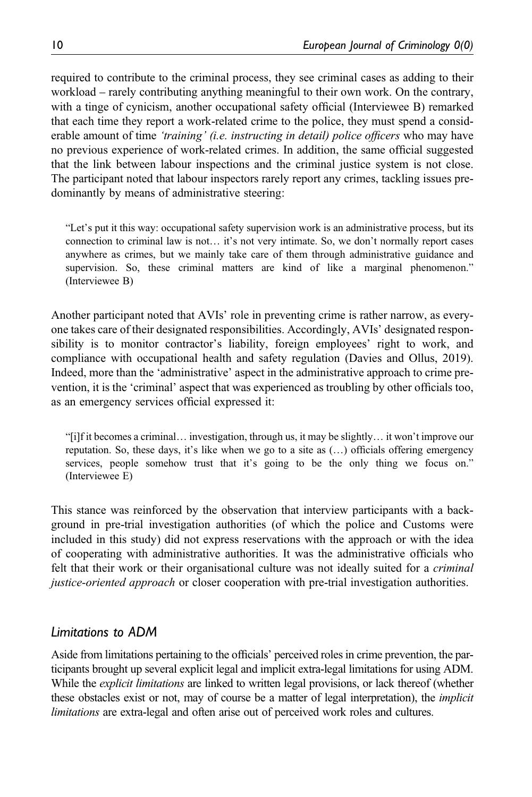required to contribute to the criminal process, they see criminal cases as adding to their workload – rarely contributing anything meaningful to their own work. On the contrary, with a tinge of cynicism, another occupational safety official (Interviewee B) remarked that each time they report a work-related crime to the police, they must spend a considerable amount of time 'training' (i.e. instructing in detail) police officers who may have no previous experience of work-related crimes. In addition, the same official suggested that the link between labour inspections and the criminal justice system is not close. The participant noted that labour inspectors rarely report any crimes, tackling issues predominantly by means of administrative steering:

"Let's put it this way: occupational safety supervision work is an administrative process, but its connection to criminal law is not… it's not very intimate. So, we don't normally report cases anywhere as crimes, but we mainly take care of them through administrative guidance and supervision. So, these criminal matters are kind of like a marginal phenomenon." (Interviewee B)

Another participant noted that AVIs' role in preventing crime is rather narrow, as everyone takes care of their designated responsibilities. Accordingly, AVIs' designated responsibility is to monitor contractor's liability, foreign employees' right to work, and compliance with occupational health and safety regulation (Davies and Ollus, 2019). Indeed, more than the 'administrative' aspect in the administrative approach to crime prevention, it is the 'criminal' aspect that was experienced as troubling by other officials too, as an emergency services official expressed it:

"[i]f it becomes a criminal… investigation, through us, it may be slightly… it won't improve our reputation. So, these days, it's like when we go to a site as  $(...)$  officials offering emergency services, people somehow trust that it's going to be the only thing we focus on." (Interviewee E)

This stance was reinforced by the observation that interview participants with a background in pre-trial investigation authorities (of which the police and Customs were included in this study) did not express reservations with the approach or with the idea of cooperating with administrative authorities. It was the administrative officials who felt that their work or their organisational culture was not ideally suited for a *criminal* justice-oriented approach or closer cooperation with pre-trial investigation authorities.

## Limitations to ADM

Aside from limitations pertaining to the officials' perceived roles in crime prevention, the participants brought up several explicit legal and implicit extra-legal limitations for using ADM. While the *explicit limitations* are linked to written legal provisions, or lack thereof (whether these obstacles exist or not, may of course be a matter of legal interpretation), the *implicit* limitations are extra-legal and often arise out of perceived work roles and cultures.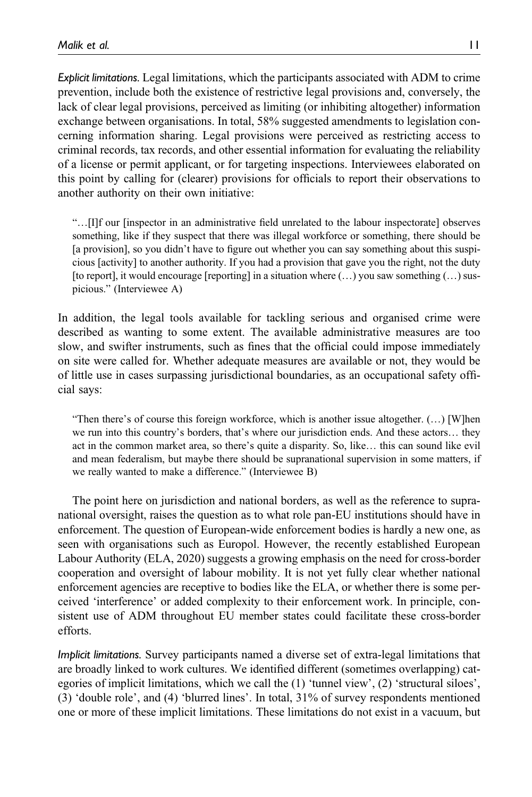Explicit limitations. Legal limitations, which the participants associated with ADM to crime prevention, include both the existence of restrictive legal provisions and, conversely, the lack of clear legal provisions, perceived as limiting (or inhibiting altogether) information exchange between organisations. In total, 58% suggested amendments to legislation concerning information sharing. Legal provisions were perceived as restricting access to criminal records, tax records, and other essential information for evaluating the reliability of a license or permit applicant, or for targeting inspections. Interviewees elaborated on this point by calling for (clearer) provisions for officials to report their observations to another authority on their own initiative:

"…[I]f our [inspector in an administrative field unrelated to the labour inspectorate] observes something, like if they suspect that there was illegal workforce or something, there should be [a provision], so you didn't have to figure out whether you can say something about this suspicious [activity] to another authority. If you had a provision that gave you the right, not the duty [to report], it would encourage [reporting] in a situation where  $(\ldots)$  you saw something  $(\ldots)$  suspicious." (Interviewee A)

In addition, the legal tools available for tackling serious and organised crime were described as wanting to some extent. The available administrative measures are too slow, and swifter instruments, such as fines that the official could impose immediately on site were called for. Whether adequate measures are available or not, they would be of little use in cases surpassing jurisdictional boundaries, as an occupational safety official says:

"Then there's of course this foreign workforce, which is another issue altogether. (…) [W]hen we run into this country's borders, that's where our jurisdiction ends. And these actors… they act in the common market area, so there's quite a disparity. So, like… this can sound like evil and mean federalism, but maybe there should be supranational supervision in some matters, if we really wanted to make a difference." (Interviewee B)

The point here on jurisdiction and national borders, as well as the reference to supranational oversight, raises the question as to what role pan-EU institutions should have in enforcement. The question of European-wide enforcement bodies is hardly a new one, as seen with organisations such as Europol. However, the recently established European Labour Authority (ELA, 2020) suggests a growing emphasis on the need for cross-border cooperation and oversight of labour mobility. It is not yet fully clear whether national enforcement agencies are receptive to bodies like the ELA, or whether there is some perceived 'interference' or added complexity to their enforcement work. In principle, consistent use of ADM throughout EU member states could facilitate these cross-border efforts.

Implicit limitations. Survey participants named a diverse set of extra-legal limitations that are broadly linked to work cultures. We identified different (sometimes overlapping) categories of implicit limitations, which we call the (1) 'tunnel view', (2) 'structural siloes', (3) 'double role', and (4) 'blurred lines'. In total, 31% of survey respondents mentioned one or more of these implicit limitations. These limitations do not exist in a vacuum, but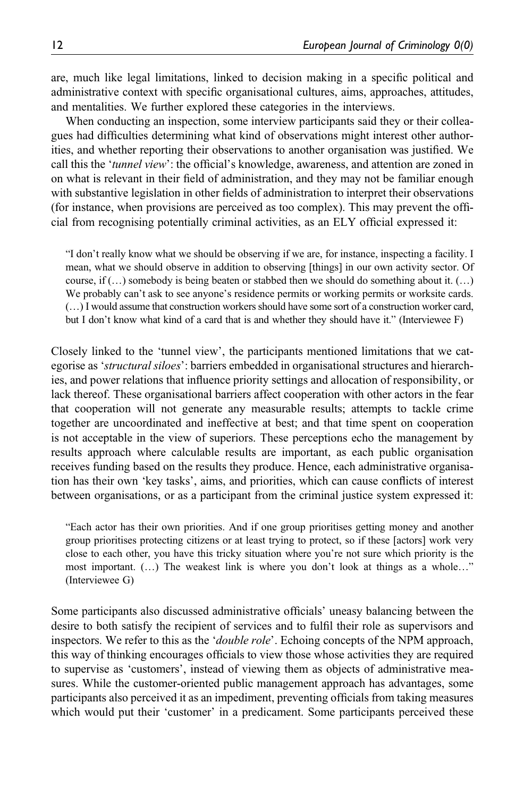are, much like legal limitations, linked to decision making in a specific political and administrative context with specific organisational cultures, aims, approaches, attitudes, and mentalities. We further explored these categories in the interviews.

When conducting an inspection, some interview participants said they or their colleagues had difficulties determining what kind of observations might interest other authorities, and whether reporting their observations to another organisation was justified. We call this the 'tunnel view': the official's knowledge, awareness, and attention are zoned in on what is relevant in their field of administration, and they may not be familiar enough with substantive legislation in other fields of administration to interpret their observations (for instance, when provisions are perceived as too complex). This may prevent the official from recognising potentially criminal activities, as an ELY official expressed it:

"I don't really know what we should be observing if we are, for instance, inspecting a facility. I mean, what we should observe in addition to observing [things] in our own activity sector. Of course, if  $(...)$  somebody is being beaten or stabbed then we should do something about it.  $(...)$ We probably can't ask to see anyone's residence permits or working permits or worksite cards. (…) I would assume that construction workers should have some sort of a construction worker card, but I don't know what kind of a card that is and whether they should have it." (Interviewee F)

Closely linked to the 'tunnel view', the participants mentioned limitations that we categorise as 'structural siloes': barriers embedded in organisational structures and hierarchies, and power relations that influence priority settings and allocation of responsibility, or lack thereof. These organisational barriers affect cooperation with other actors in the fear that cooperation will not generate any measurable results; attempts to tackle crime together are uncoordinated and ineffective at best; and that time spent on cooperation is not acceptable in the view of superiors. These perceptions echo the management by results approach where calculable results are important, as each public organisation receives funding based on the results they produce. Hence, each administrative organisation has their own 'key tasks', aims, and priorities, which can cause conflicts of interest between organisations, or as a participant from the criminal justice system expressed it:

"Each actor has their own priorities. And if one group prioritises getting money and another group prioritises protecting citizens or at least trying to protect, so if these [actors] work very close to each other, you have this tricky situation where you're not sure which priority is the most important. (…) The weakest link is where you don't look at things as a whole…" (Interviewee G)

Some participants also discussed administrative officials' uneasy balancing between the desire to both satisfy the recipient of services and to fulfil their role as supervisors and inspectors. We refer to this as the *'double role'*. Echoing concepts of the NPM approach, this way of thinking encourages officials to view those whose activities they are required to supervise as 'customers', instead of viewing them as objects of administrative measures. While the customer-oriented public management approach has advantages, some participants also perceived it as an impediment, preventing officials from taking measures which would put their 'customer' in a predicament. Some participants perceived these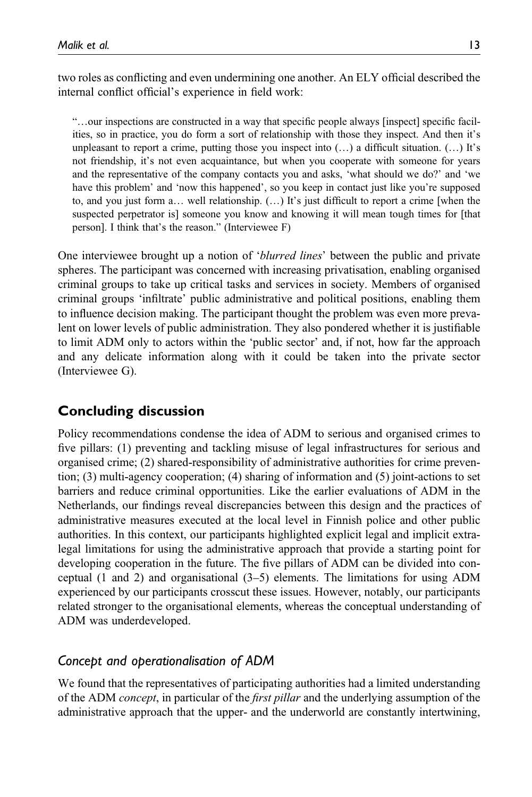two roles as conflicting and even undermining one another. An ELY official described the internal conflict official's experience in field work:

"…our inspections are constructed in a way that specific people always [inspect] specific facilities, so in practice, you do form a sort of relationship with those they inspect. And then it's unpleasant to report a crime, putting those you inspect into  $(...)$  a difficult situation.  $(...)$  It's not friendship, it's not even acquaintance, but when you cooperate with someone for years and the representative of the company contacts you and asks, 'what should we do?' and 'we have this problem' and 'now this happened', so you keep in contact just like you're supposed to, and you just form a… well relationship. (…) It's just difficult to report a crime [when the suspected perpetrator is] someone you know and knowing it will mean tough times for [that person]. I think that's the reason." (Interviewee F)

One interviewee brought up a notion of 'blurred lines' between the public and private spheres. The participant was concerned with increasing privatisation, enabling organised criminal groups to take up critical tasks and services in society. Members of organised criminal groups 'infiltrate' public administrative and political positions, enabling them to influence decision making. The participant thought the problem was even more prevalent on lower levels of public administration. They also pondered whether it is justifiable to limit ADM only to actors within the 'public sector' and, if not, how far the approach and any delicate information along with it could be taken into the private sector (Interviewee G).

# Concluding discussion

Policy recommendations condense the idea of ADM to serious and organised crimes to five pillars: (1) preventing and tackling misuse of legal infrastructures for serious and organised crime; (2) shared-responsibility of administrative authorities for crime prevention; (3) multi-agency cooperation; (4) sharing of information and (5) joint-actions to set barriers and reduce criminal opportunities. Like the earlier evaluations of ADM in the Netherlands, our findings reveal discrepancies between this design and the practices of administrative measures executed at the local level in Finnish police and other public authorities. In this context, our participants highlighted explicit legal and implicit extralegal limitations for using the administrative approach that provide a starting point for developing cooperation in the future. The five pillars of ADM can be divided into conceptual (1 and 2) and organisational (3–5) elements. The limitations for using ADM experienced by our participants crosscut these issues. However, notably, our participants related stronger to the organisational elements, whereas the conceptual understanding of ADM was underdeveloped.

## Concept and operationalisation of ADM

We found that the representatives of participating authorities had a limited understanding of the ADM concept, in particular of the first pillar and the underlying assumption of the administrative approach that the upper- and the underworld are constantly intertwining,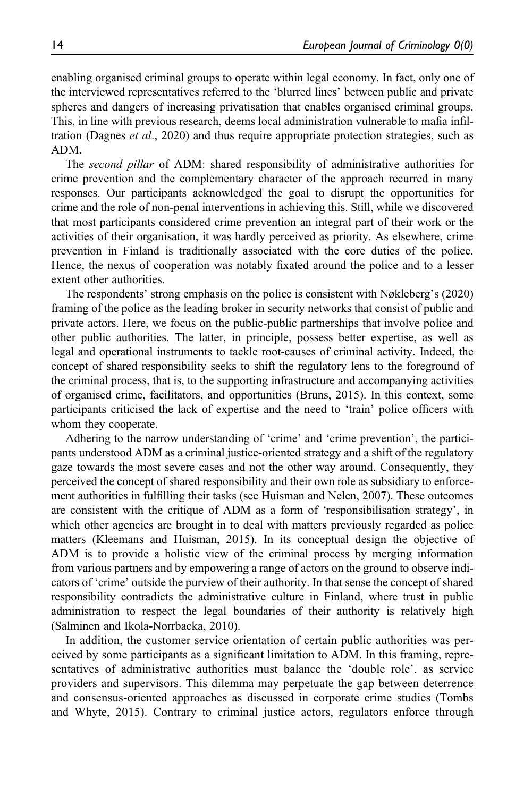enabling organised criminal groups to operate within legal economy. In fact, only one of the interviewed representatives referred to the 'blurred lines' between public and private spheres and dangers of increasing privatisation that enables organised criminal groups. This, in line with previous research, deems local administration vulnerable to mafia infiltration (Dagnes et al., 2020) and thus require appropriate protection strategies, such as ADM.

The second pillar of ADM: shared responsibility of administrative authorities for crime prevention and the complementary character of the approach recurred in many responses. Our participants acknowledged the goal to disrupt the opportunities for crime and the role of non-penal interventions in achieving this. Still, while we discovered that most participants considered crime prevention an integral part of their work or the activities of their organisation, it was hardly perceived as priority. As elsewhere, crime prevention in Finland is traditionally associated with the core duties of the police. Hence, the nexus of cooperation was notably fixated around the police and to a lesser extent other authorities.

The respondents' strong emphasis on the police is consistent with Nøkleberg's (2020) framing of the police as the leading broker in security networks that consist of public and private actors. Here, we focus on the public-public partnerships that involve police and other public authorities. The latter, in principle, possess better expertise, as well as legal and operational instruments to tackle root-causes of criminal activity. Indeed, the concept of shared responsibility seeks to shift the regulatory lens to the foreground of the criminal process, that is, to the supporting infrastructure and accompanying activities of organised crime, facilitators, and opportunities (Bruns, 2015). In this context, some participants criticised the lack of expertise and the need to 'train' police officers with whom they cooperate.

Adhering to the narrow understanding of 'crime' and 'crime prevention', the participants understood ADM as a criminal justice-oriented strategy and a shift of the regulatory gaze towards the most severe cases and not the other way around. Consequently, they perceived the concept of shared responsibility and their own role as subsidiary to enforcement authorities in fulfilling their tasks (see Huisman and Nelen, 2007). These outcomes are consistent with the critique of ADM as a form of 'responsibilisation strategy', in which other agencies are brought in to deal with matters previously regarded as police matters (Kleemans and Huisman, 2015). In its conceptual design the objective of ADM is to provide a holistic view of the criminal process by merging information from various partners and by empowering a range of actors on the ground to observe indicators of 'crime' outside the purview of their authority. In that sense the concept of shared responsibility contradicts the administrative culture in Finland, where trust in public administration to respect the legal boundaries of their authority is relatively high (Salminen and Ikola-Norrbacka, 2010).

In addition, the customer service orientation of certain public authorities was perceived by some participants as a significant limitation to ADM. In this framing, representatives of administrative authorities must balance the 'double role'. as service providers and supervisors. This dilemma may perpetuate the gap between deterrence and consensus-oriented approaches as discussed in corporate crime studies (Tombs and Whyte, 2015). Contrary to criminal justice actors, regulators enforce through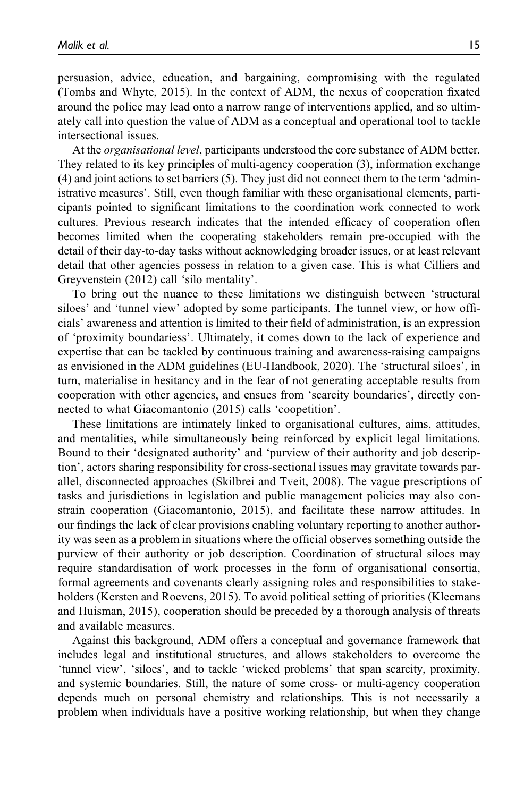persuasion, advice, education, and bargaining, compromising with the regulated (Tombs and Whyte, 2015). In the context of ADM, the nexus of cooperation fixated around the police may lead onto a narrow range of interventions applied, and so ultimately call into question the value of ADM as a conceptual and operational tool to tackle intersectional issues.

At the organisational level, participants understood the core substance of ADM better. They related to its key principles of multi-agency cooperation (3), information exchange (4) and joint actions to set barriers (5). They just did not connect them to the term 'administrative measures'. Still, even though familiar with these organisational elements, participants pointed to significant limitations to the coordination work connected to work cultures. Previous research indicates that the intended efficacy of cooperation often becomes limited when the cooperating stakeholders remain pre-occupied with the detail of their day-to-day tasks without acknowledging broader issues, or at least relevant detail that other agencies possess in relation to a given case. This is what Cilliers and Greyvenstein (2012) call 'silo mentality'.

To bring out the nuance to these limitations we distinguish between 'structural siloes' and 'tunnel view' adopted by some participants. The tunnel view, or how officials' awareness and attention is limited to their field of administration, is an expression of 'proximity boundariess'. Ultimately, it comes down to the lack of experience and expertise that can be tackled by continuous training and awareness-raising campaigns as envisioned in the ADM guidelines (EU-Handbook, 2020). The 'structural siloes', in turn, materialise in hesitancy and in the fear of not generating acceptable results from cooperation with other agencies, and ensues from 'scarcity boundaries', directly connected to what Giacomantonio (2015) calls 'coopetition'.

These limitations are intimately linked to organisational cultures, aims, attitudes, and mentalities, while simultaneously being reinforced by explicit legal limitations. Bound to their 'designated authority' and 'purview of their authority and job description', actors sharing responsibility for cross-sectional issues may gravitate towards parallel, disconnected approaches (Skilbrei and Tveit, 2008). The vague prescriptions of tasks and jurisdictions in legislation and public management policies may also constrain cooperation (Giacomantonio, 2015), and facilitate these narrow attitudes. In our findings the lack of clear provisions enabling voluntary reporting to another authority was seen as a problem in situations where the official observes something outside the purview of their authority or job description. Coordination of structural siloes may require standardisation of work processes in the form of organisational consortia, formal agreements and covenants clearly assigning roles and responsibilities to stakeholders (Kersten and Roevens, 2015). To avoid political setting of priorities (Kleemans and Huisman, 2015), cooperation should be preceded by a thorough analysis of threats and available measures.

Against this background, ADM offers a conceptual and governance framework that includes legal and institutional structures, and allows stakeholders to overcome the 'tunnel view', 'siloes', and to tackle 'wicked problems' that span scarcity, proximity, and systemic boundaries. Still, the nature of some cross- or multi-agency cooperation depends much on personal chemistry and relationships. This is not necessarily a problem when individuals have a positive working relationship, but when they change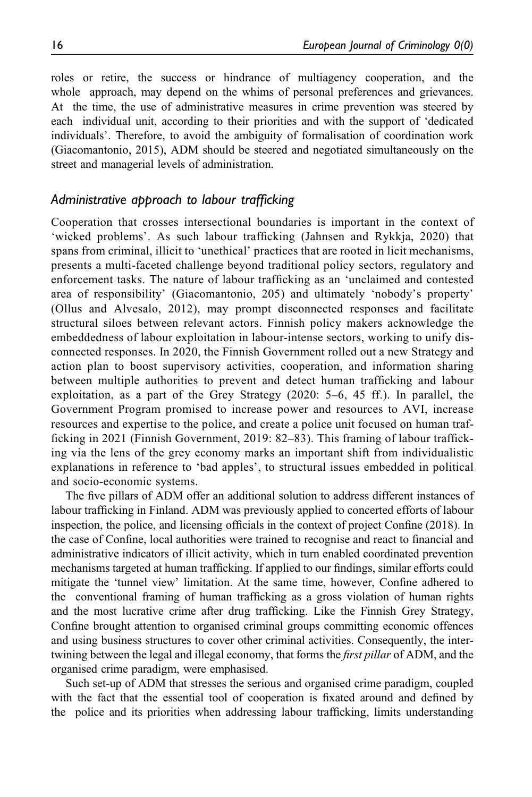roles or retire, the success or hindrance of multiagency cooperation, and the whole approach, may depend on the whims of personal preferences and grievances. At the time, the use of administrative measures in crime prevention was steered by each individual unit, according to their priorities and with the support of 'dedicated individuals'. Therefore, to avoid the ambiguity of formalisation of coordination work (Giacomantonio, 2015), ADM should be steered and negotiated simultaneously on the street and managerial levels of administration.

### Administrative approach to labour trafficking

Cooperation that crosses intersectional boundaries is important in the context of 'wicked problems'. As such labour trafficking (Jahnsen and Rykkja, 2020) that spans from criminal, illicit to 'unethical' practices that are rooted in licit mechanisms, presents a multi-faceted challenge beyond traditional policy sectors, regulatory and enforcement tasks. The nature of labour trafficking as an 'unclaimed and contested area of responsibility' (Giacomantonio, 205) and ultimately 'nobody's property' (Ollus and Alvesalo, 2012), may prompt disconnected responses and facilitate structural siloes between relevant actors. Finnish policy makers acknowledge the embeddedness of labour exploitation in labour-intense sectors, working to unify disconnected responses. In 2020, the Finnish Government rolled out a new Strategy and action plan to boost supervisory activities, cooperation, and information sharing between multiple authorities to prevent and detect human trafficking and labour exploitation, as a part of the Grey Strategy (2020: 5–6, 45 ff.). In parallel, the Government Program promised to increase power and resources to AVI, increase resources and expertise to the police, and create a police unit focused on human trafficking in 2021 (Finnish Government, 2019: 82–83). This framing of labour trafficking via the lens of the grey economy marks an important shift from individualistic explanations in reference to 'bad apples', to structural issues embedded in political and socio-economic systems.

The five pillars of ADM offer an additional solution to address different instances of labour trafficking in Finland. ADM was previously applied to concerted efforts of labour inspection, the police, and licensing officials in the context of project Confine (2018). In the case of Confine, local authorities were trained to recognise and react to financial and administrative indicators of illicit activity, which in turn enabled coordinated prevention mechanisms targeted at human trafficking. If applied to our findings, similar efforts could mitigate the 'tunnel view' limitation. At the same time, however, Confine adhered to the conventional framing of human trafficking as a gross violation of human rights and the most lucrative crime after drug trafficking. Like the Finnish Grey Strategy, Confine brought attention to organised criminal groups committing economic offences and using business structures to cover other criminal activities. Consequently, the intertwining between the legal and illegal economy, that forms the *first pillar* of ADM, and the organised crime paradigm, were emphasised.

Such set-up of ADM that stresses the serious and organised crime paradigm, coupled with the fact that the essential tool of cooperation is fixated around and defined by the police and its priorities when addressing labour trafficking, limits understanding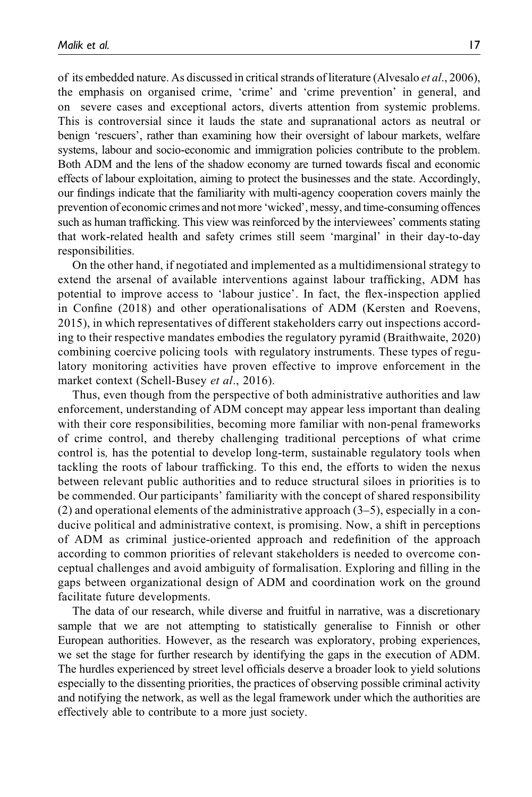of its embedded nature. As discussed in critical strands of literature (Alvesalo et al., 2006), the emphasis on organised crime, 'crime' and 'crime prevention' in general, and on severe cases and exceptional actors, diverts attention from systemic problems. This is controversial since it lauds the state and supranational actors as neutral or benign 'rescuers', rather than examining how their oversight of labour markets, welfare systems, labour and socio-economic and immigration policies contribute to the problem. Both ADM and the lens of the shadow economy are turned towards fiscal and economic effects of labour exploitation, aiming to protect the businesses and the state. Accordingly, our findings indicate that the familiarity with multi-agency cooperation covers mainly the prevention of economic crimes and not more 'wicked', messy, and time-consuming offences such as human trafficking. This view was reinforced by the interviewees' comments stating that work-related health and safety crimes still seem 'marginal' in their day-to-day responsibilities.

On the other hand, if negotiated and implemented as a multidimensional strategy to extend the arsenal of available interventions against labour trafficking, ADM has potential to improve access to 'labour justice'. In fact, the flex-inspection applied in Confine (2018) and other operationalisations of ADM (Kersten and Roevens, 2015), in which representatives of different stakeholders carry out inspections according to their respective mandates embodies the regulatory pyramid (Braithwaite, 2020) combining coercive policing tools with regulatory instruments. These types of regulatory monitoring activities have proven effective to improve enforcement in the market context (Schell-Busey et al., 2016).

Thus, even though from the perspective of both administrative authorities and law enforcement, understanding of ADM concept may appear less important than dealing with their core responsibilities, becoming more familiar with non-penal frameworks of crime control, and thereby challenging traditional perceptions of what crime control is, has the potential to develop long-term, sustainable regulatory tools when tackling the roots of labour trafficking. To this end, the efforts to widen the nexus between relevant public authorities and to reduce structural siloes in priorities is to be commended. Our participants' familiarity with the concept of shared responsibility (2) and operational elements of the administrative approach (3–5), especially in a conducive political and administrative context, is promising. Now, a shift in perceptions of ADM as criminal justice-oriented approach and redefinition of the approach according to common priorities of relevant stakeholders is needed to overcome conceptual challenges and avoid ambiguity of formalisation. Exploring and filling in the gaps between organizational design of ADM and coordination work on the ground facilitate future developments.

The data of our research, while diverse and fruitful in narrative, was a discretionary sample that we are not attempting to statistically generalise to Finnish or other European authorities. However, as the research was exploratory, probing experiences, we set the stage for further research by identifying the gaps in the execution of ADM. The hurdles experienced by street level officials deserve a broader look to yield solutions especially to the dissenting priorities, the practices of observing possible criminal activity and notifying the network, as well as the legal framework under which the authorities are effectively able to contribute to a more just society.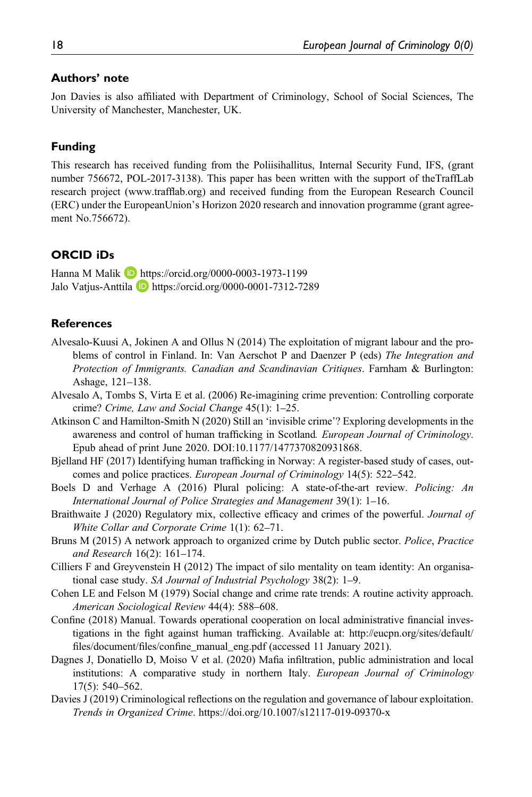#### Authors' note

Jon Davies is also affiliated with Department of Criminology, School of Social Sciences, The University of Manchester, Manchester, UK.

#### Funding

This research has received funding from the Poliisihallitus, Internal Security Fund, IFS, (grant number 756672, POL-2017-3138). This paper has been written with the support of theTraffLab research project (www.trafflab.org) and received funding from the European Research Council (ERC) under the EuropeanUnion's Horizon 2020 research and innovation programme (grant agreement No.756672).

#### ORCID iDs

Hanna M Malik **D** <https://orcid.org/0000-0003-1973-1199> Jalo Vatjus-Anttila **b** <https://orcid.org/0000-0001-7312-7289>

#### **References**

- Alvesalo-Kuusi A, Jokinen A and Ollus N (2014) The exploitation of migrant labour and the problems of control in Finland. In: Van Aerschot P and Daenzer P (eds) The Integration and Protection of Immigrants. Canadian and Scandinavian Critiques. Farnham & Burlington: Ashage, 121–138.
- Alvesalo A, Tombs S, Virta E et al. (2006) Re-imagining crime prevention: Controlling corporate crime? Crime, Law and Social Change 45(1): 1–25.
- Atkinson C and Hamilton-Smith N (2020) Still an 'invisible crime'? Exploring developments in the awareness and control of human trafficking in Scotland. European Journal of Criminology. Epub ahead of print June 2020. DOI[:10.1177/1477370820931868](http://dx.doi.org/10.1177/1477370820931868).
- Bjelland HF (2017) Identifying human trafficking in Norway: A register-based study of cases, outcomes and police practices. European Journal of Criminology 14(5): 522–542.
- Boels D and Verhage A (2016) Plural policing: A state-of-the-art review. Policing: An International Journal of Police Strategies and Management 39(1): 1–16.
- Braithwaite J (2020) Regulatory mix, collective efficacy and crimes of the powerful. Journal of White Collar and Corporate Crime 1(1): 62–71.
- Bruns M (2015) A network approach to organized crime by Dutch public sector. Police, Practice and Research 16(2): 161–174.
- Cilliers F and Greyvenstein H (2012) The impact of silo mentality on team identity: An organisational case study. SA Journal of Industrial Psychology 38(2): 1–9.
- Cohen LE and Felson M (1979) Social change and crime rate trends: A routine activity approach. American Sociological Review 44(4): 588–608.
- Confine (2018) Manual. Towards operational cooperation on local administrative financial investigations in the fight against human trafficking. Available at: [http://eucpn.org/sites/default/](http://eucpn.org/sites/default/files/document/files/confine_manual_eng.pdf) files/document/files/confi[ne\\_manual\\_eng.pdf](http://eucpn.org/sites/default/files/document/files/confine_manual_eng.pdf) (accessed 11 January 2021).
- Dagnes J, Donatiello D, Moiso V et al. (2020) Mafia infiltration, public administration and local institutions: A comparative study in northern Italy. European Journal of Criminology 17(5): 540–562.
- Davies J (2019) Criminological reflections on the regulation and governance of labour exploitation. Trends in Organized Crime.<https://doi.org/10.1007/s12117-019-09370-x>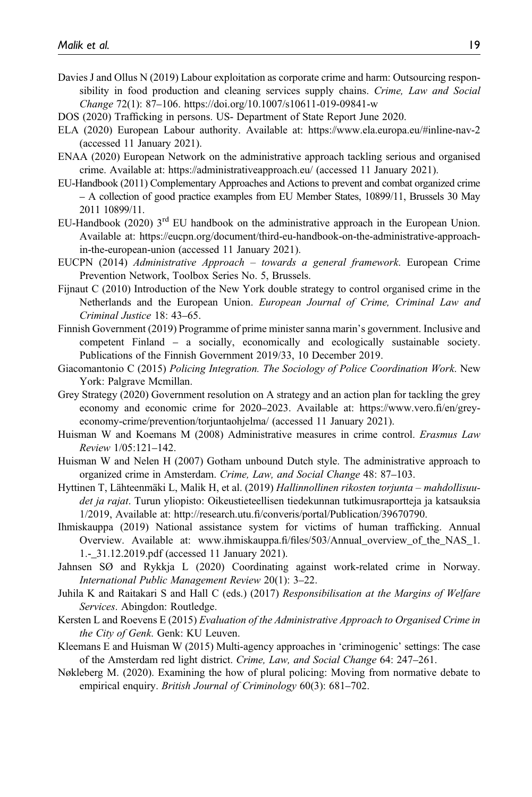- Davies J and Ollus N (2019) Labour exploitation as corporate crime and harm: Outsourcing responsibility in food production and cleaning services supply chains. Crime, Law and Social Change 72(1): 87–106.<https://doi.org/10.1007/s10611-019-09841-w>
- DOS (2020) Trafficking in persons. US- Department of State Report June 2020.
- ELA (2020) European Labour authority. Available at:<https://www.ela.europa.eu/#inline-nav-2> (accessed 11 January 2021).
- ENAA (2020) European Network on the administrative approach tackling serious and organised crime. Available at:<https://administrativeapproach.eu/> (accessed 11 January 2021).
- EU-Handbook (2011) Complementary Approaches and Actions to prevent and combat organized crime – A collection of good practice examples from EU Member States, 10899/11, Brussels 30 May 2011 10899/11.
- EU-Handbook (2020)  $3<sup>rd</sup>$  EU handbook on the administrative approach in the European Union. Available at: [https://eucpn.org/document/third-eu-handbook-on-the-administrative-approach](https://eucpn.org/document/third-eu-handbook-on-the-administrative-approach-in-the-european-union)[in-the-european-union](https://eucpn.org/document/third-eu-handbook-on-the-administrative-approach-in-the-european-union) (accessed 11 January 2021).
- EUCPN (2014) Administrative Approach towards a general framework. European Crime Prevention Network, Toolbox Series No. 5, Brussels.
- Fijnaut C (2010) Introduction of the New York double strategy to control organised crime in the Netherlands and the European Union. European Journal of Crime, Criminal Law and Criminal Justice 18: 43–65.
- Finnish Government (2019) Programme of prime minister sanna marin's government. Inclusive and competent Finland – a socially, economically and ecologically sustainable society. Publications of the Finnish Government 2019/33, 10 December 2019.
- Giacomantonio C (2015) Policing Integration. The Sociology of Police Coordination Work. New York: Palgrave Mcmillan.
- Grey Strategy (2020) Government resolution on A strategy and an action plan for tackling the grey economy and economic crime for 2020–2023. Available at: [https://www.vero.](https://www.vero.fi/en/grey-economy-crime/prevention/torjuntaohjelma/)fi/en/grey[economy-crime/prevention/torjuntaohjelma/](https://www.vero.fi/en/grey-economy-crime/prevention/torjuntaohjelma/) (accessed 11 January 2021).
- Huisman W and Koemans M (2008) Administrative measures in crime control. Erasmus Law Review 1/05:121–142.
- Huisman W and Nelen H (2007) Gotham unbound Dutch style. The administrative approach to organized crime in Amsterdam. Crime, Law, and Social Change 48: 87-103.
- Hyttinen T, Lähteenmäki L, Malik H, et al. (2019) Hallinnollinen rikosten torjunta mahdollisuudet ja rajat. Turun yliopisto: Oikeustieteellisen tiedekunnan tutkimusraportteja ja katsauksia 1/2019, Available at: http://research.utu.fi[/converis/portal/Publication/39670790](http://research.utu.fi/converis/portal/Publication/39670790).
- Ihmiskauppa (2019) National assistance system for victims of human trafficking. Annual Overview. Available at: www.ihmiskauppa.fi/fi[les/503/Annual\\_overview\\_of\\_the\\_NAS\\_1.](www.ihmiskauppa.fi/files/503/Annual_overview_of_the_NAS_1.1.-_31.12.2019.pdf) [1.-\\_31.12.2019.pdf](www.ihmiskauppa.fi/files/503/Annual_overview_of_the_NAS_1.1.-_31.12.2019.pdf) (accessed 11 January 2021).
- Jahnsen SØ and Rykkja L (2020) Coordinating against work-related crime in Norway. International Public Management Review 20(1): 3–22.
- Juhila K and Raitakari S and Hall C (eds.) (2017) Responsibilisation at the Margins of Welfare Services. Abingdon: Routledge.
- Kersten L and Roevens E (2015) Evaluation of the Administrative Approach to Organised Crime in the City of Genk. Genk: KU Leuven.
- Kleemans E and Huisman W (2015) Multi-agency approaches in 'criminogenic' settings: The case of the Amsterdam red light district. Crime, Law, and Social Change 64: 247-261.
- Nøkleberg M. (2020). Examining the how of plural policing: Moving from normative debate to empirical enquiry. British Journal of Criminology 60(3): 681–702.